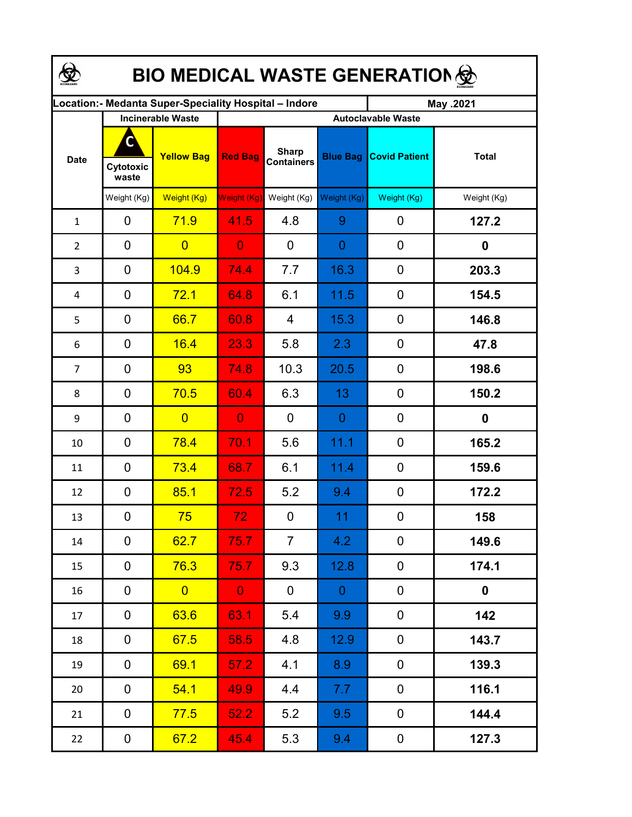| <b>BIO MEDICAL WASTE GENERATION </b>                  |                          |                   |                 |                                   |                 |                           |                  |  |  |  |  |
|-------------------------------------------------------|--------------------------|-------------------|-----------------|-----------------------------------|-----------------|---------------------------|------------------|--|--|--|--|
| ocation: - Medanta Super-Speciality Hospital - Indore |                          |                   |                 |                                   |                 | May .2021                 |                  |  |  |  |  |
|                                                       | <b>Incinerable Waste</b> |                   |                 |                                   |                 | <b>Autoclavable Waste</b> |                  |  |  |  |  |
| <b>Date</b>                                           | С<br>Cytotoxic<br>waste  | <b>Yellow Bag</b> | <b>Red Bag</b>  | <b>Sharp</b><br><b>Containers</b> | <b>Blue Bag</b> | <b>Covid Patient</b>      | <b>Total</b>     |  |  |  |  |
|                                                       | Weight (Kg)              | Weight (Kg)       | Weight (Kg)     | Weight (Kg)                       | Weight (Kg)     | Weight (Kg)               | Weight (Kg)      |  |  |  |  |
| $\mathbf{1}$                                          | 0                        | 71.9              | 41.5            | 4.8                               | 9               | 0                         | 127.2            |  |  |  |  |
| $\overline{2}$                                        | 0                        | $\overline{0}$    | $\overline{0}$  | $\mathbf 0$                       | $\overline{0}$  | 0                         | $\boldsymbol{0}$ |  |  |  |  |
| 3                                                     | 0                        | 104.9             | 74.4            | 7.7                               | 16.3            | 0                         | 203.3            |  |  |  |  |
| 4                                                     | 0                        | 72.1              | 64.8            | 6.1                               | 11.5            | 0                         | 154.5            |  |  |  |  |
| 5                                                     | $\overline{0}$           | 66.7              | 60.8            | $\overline{4}$                    | 15.3            | 0                         | 146.8            |  |  |  |  |
| 6                                                     | $\overline{0}$           | 16.4              | 23.3            | 5.8                               | 2.3             | 0                         | 47.8             |  |  |  |  |
| 7                                                     | $\mathbf 0$              | 93                | 74.8            | 10.3                              | 20.5            | $\mathbf 0$               | 198.6            |  |  |  |  |
| 8                                                     | 0                        | 70.5              | 60.4            | 6.3                               | 13              | 0                         | 150.2            |  |  |  |  |
| 9                                                     | 0                        | $\overline{0}$    | $\overline{0}$  | $\mathbf 0$                       | $\overline{0}$  | 0                         | $\boldsymbol{0}$ |  |  |  |  |
| 10                                                    | 0                        | 78.4              | 70.1            | 5.6                               | 11.1            | 0                         | 165.2            |  |  |  |  |
| 11                                                    | 0                        | 73.4              | 68.7            | 6.1                               | 11.4            | $\mathbf 0$               | 159.6            |  |  |  |  |
| 12                                                    | 0                        | 85.1              | 72.5            | 5.2                               | 9.4             | $\mathbf 0$               | 172.2            |  |  |  |  |
| 13                                                    | 0                        | 75                | 72 <sub>1</sub> | $\overline{0}$                    | 11              | $\mathbf 0$               | 158              |  |  |  |  |
| 14                                                    | 0                        | 62.7              | 75.7            | $\overline{7}$                    | 4.2             | 0                         | 149.6            |  |  |  |  |
| 15                                                    | 0                        | 76.3              | 75.7            | 9.3                               | 12.8            | $\mathbf 0$               | 174.1            |  |  |  |  |
| 16                                                    | 0                        | $\overline{0}$    | $\mathbf{0}$    | $\overline{0}$                    | $\overline{0}$  | $\pmb{0}$                 | $\mathbf 0$      |  |  |  |  |
| 17                                                    | 0                        | 63.6              | 63.1            | 5.4                               | 9.9             | $\pmb{0}$                 | 142              |  |  |  |  |
| 18                                                    | 0                        | 67.5              | 58.5            | 4.8                               | 12.9            | 0                         | 143.7            |  |  |  |  |
| 19                                                    | 0                        | 69.1              | 57.2            | 4.1                               | 8.9             | $\mathbf 0$               | 139.3            |  |  |  |  |
| 20                                                    | 0                        | 54.1              | 49.9            | 4.4                               | 7.7             | $\mathbf 0$               | 116.1            |  |  |  |  |
| 21                                                    | 0                        | 77.5              | 52.2            | 5.2                               | 9.5             | $\pmb{0}$                 | 144.4            |  |  |  |  |
| 22                                                    | 0                        | 67.2              | 45.4            | 5.3                               | 9.4             | $\pmb{0}$                 | 127.3            |  |  |  |  |